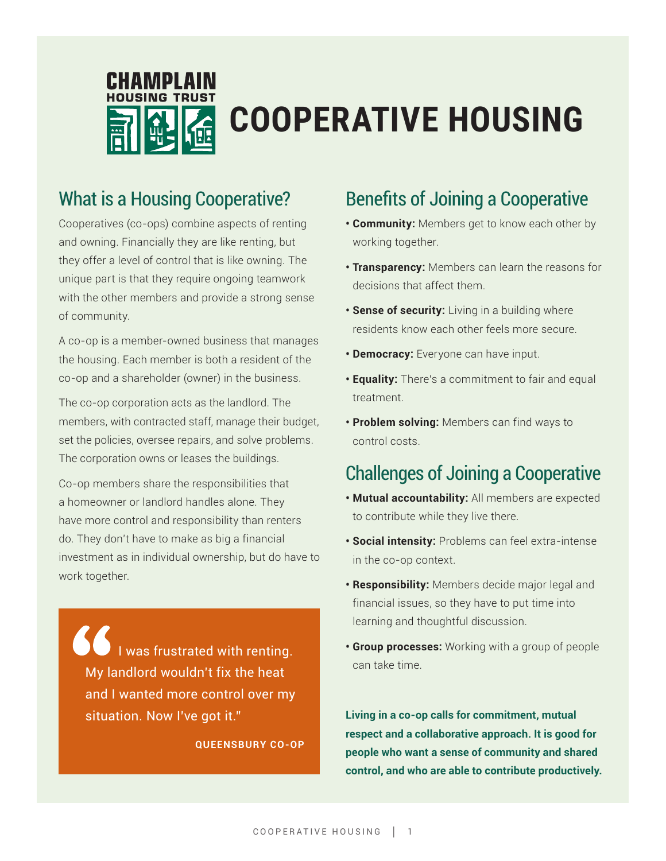

### What is a Housing Cooperative?

Cooperatives (co-ops) combine aspects of renting and owning. Financially they are like renting, but they offer a level of control that is like owning. The unique part is that they require ongoing teamwork with the other members and provide a strong sense of community.

A co-op is a member-owned business that manages the housing. Each member is both a resident of the co-op and a shareholder (owner) in the business.

The co-op corporation acts as the landlord. The members, with contracted staff, manage their budget, set the policies, oversee repairs, and solve problems. The corporation owns or leases the buildings.

Co-op members share the responsibilities that a homeowner or landlord handles alone. They have more control and responsibility than renters do. They don't have to make as big a financial investment as in individual ownership, but do have to work together.

I was frustrated with renting. My landlord wouldn't fix the heat and I wanted more control over my situation. Now I've got it."

**QUEENSBURY CO-OP**

### Benefits of Joining a Cooperative

- **Community:** Members get to know each other by working together.
- **Transparency:** Members can learn the reasons for decisions that affect them.
- **Sense of security:** Living in a building where residents know each other feels more secure.
- **Democracy:** Everyone can have input.
- **Equality:** There's a commitment to fair and equal treatment.
- **Problem solving:** Members can find ways to control costs.

### Challenges of Joining a Cooperative

- **Mutual accountability:** All members are expected to contribute while they live there.
- **Social intensity:** Problems can feel extra-intense in the co-op context.
- **Responsibility:** Members decide major legal and financial issues, so they have to put time into learning and thoughtful discussion.
- **Group processes:** Working with a group of people can take time.

**Living in a co-op calls for commitment, mutual respect and a collaborative approach. It is good for people who want a sense of community and shared control, and who are able to contribute productively.**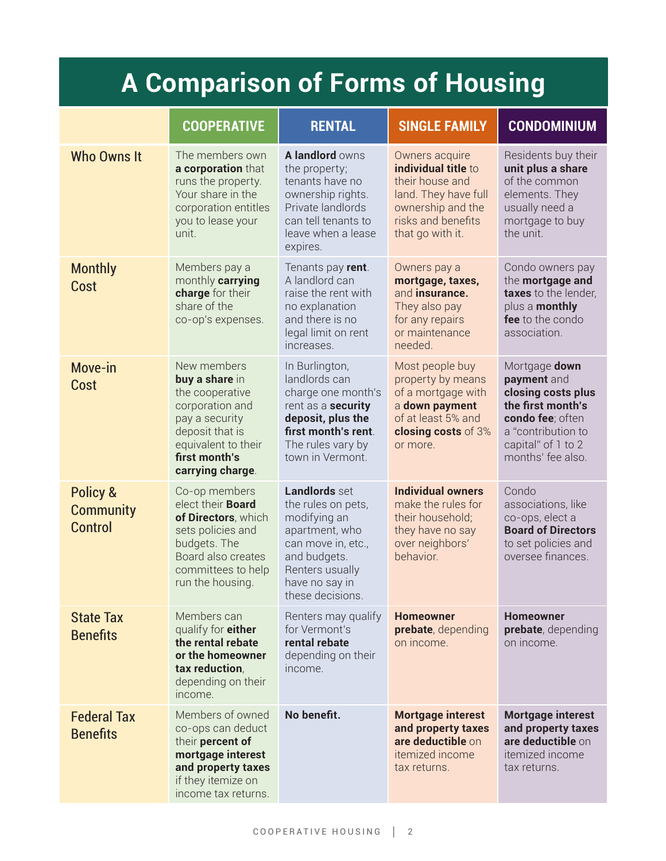# **A Comparison of Forms of Housing**

|                                                    | <b>COOPERATIVE</b>                                                                                                                                                    | <b>RENTAL</b>                                                                                                                                                               | <b>SINGLE FAMILY</b>                                                                                                                            | <b>CONDOMINIUM</b>                                                                                                                                           |
|----------------------------------------------------|-----------------------------------------------------------------------------------------------------------------------------------------------------------------------|-----------------------------------------------------------------------------------------------------------------------------------------------------------------------------|-------------------------------------------------------------------------------------------------------------------------------------------------|--------------------------------------------------------------------------------------------------------------------------------------------------------------|
| <b>Who Owns It</b>                                 | The members own<br>a corporation that<br>runs the property.<br>Your share in the<br>corporation entitles<br>you to lease your<br>unit.                                | A landlord owns<br>the property;<br>tenants have no<br>ownership rights.<br>Private landlords<br>can tell tenants to<br>leave when a lease<br>expires.                      | Owners acquire<br>individual title to<br>their house and<br>land. They have full<br>ownership and the<br>risks and benefits<br>that go with it. | Residents buy their<br>unit plus a share<br>of the common<br>elements. They<br>usually need a<br>mortgage to buy<br>the unit.                                |
| <b>Monthly</b><br>Cost                             | Members pay a<br>monthly carrying<br>charge for their<br>share of the<br>co-op's expenses.                                                                            | Tenants pay rent.<br>A landlord can<br>raise the rent with<br>no explanation<br>and there is no<br>legal limit on rent<br>increases.                                        | Owners pay a<br>mortgage, taxes,<br>and insurance.<br>They also pay<br>for any repairs<br>or maintenance<br>needed.                             | Condo owners pay<br>the mortgage and<br>taxes to the lender,<br>plus a monthly<br>fee to the condo<br>association.                                           |
| Move-in<br>Cost                                    | New members<br>buy a share in<br>the cooperative<br>corporation and<br>pay a security<br>deposit that is<br>equivalent to their<br>first month's<br>carrying charge.  | In Burlington,<br>landlords can<br>charge one month's<br>rent as a security<br>deposit, plus the<br>first month's rent.<br>The rules vary by<br>town in Vermont.            | Most people buy<br>property by means<br>of a mortgage with<br>a down payment<br>of at least 5% and<br>closing costs of 3%<br>or more.           | Mortgage down<br>payment and<br>closing costs plus<br>the first month's<br>condo fee; often<br>a "contribution to<br>capital" of 1 to 2<br>months' fee also. |
| <b>Policy &amp;</b><br><b>Community</b><br>Control | Co-op members<br>elect their <b>Board</b><br>of Directors, which<br>sets policies and<br>budgets. The<br>Board also creates<br>committees to help<br>run the housing. | <b>Landlords set</b><br>the rules on pets,<br>modifying an<br>apartment, who<br>can move in, etc.,<br>and budgets.<br>Renters usually<br>have no say in<br>these decisions. | <b>Individual owners</b><br>make the rules for<br>their household;<br>they have no say<br>over neighbors'<br>behavior.                          | Condo<br>associations, like<br>co-ops, elect a<br><b>Board of Directors</b><br>to set policies and<br>oversee finances.                                      |
| <b>State Tax</b><br><b>Benefits</b>                | Members can<br>qualify for <b>either</b><br>the rental rebate<br>or the homeowner<br>tax reduction.<br>depending on their<br>income.                                  | Renters may qualify<br>for Vermont's<br>rental rebate<br>depending on their<br>income.                                                                                      | <b>Homeowner</b><br>prebate, depending<br>on income.                                                                                            | <b>Homeowner</b><br>prebate, depending<br>on income.                                                                                                         |
| <b>Federal Tax</b><br><b>Benefits</b>              | Members of owned<br>co-ops can deduct<br>their percent of<br>mortgage interest<br>and property taxes<br>if they itemize on<br>income tax returns.                     | No benefit.                                                                                                                                                                 | <b>Mortgage interest</b><br>and property taxes<br>are deductible on<br>itemized income<br>tax returns.                                          | <b>Mortgage interest</b><br>and property taxes<br>are deductible on<br>itemized income<br>tax returns.                                                       |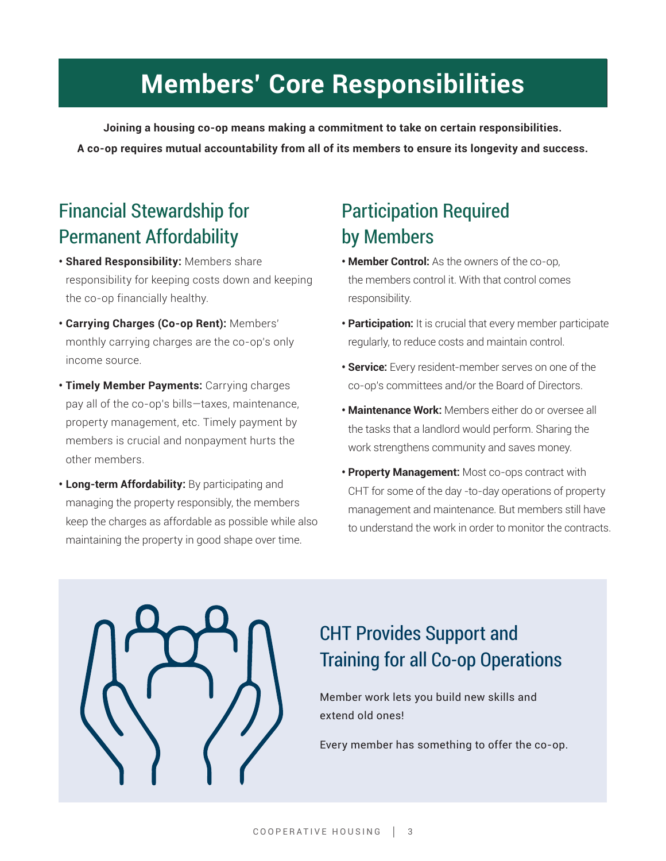# **Members' Core Responsibilities**

**Joining a housing co-op means making a commitment to take on certain responsibilities. A co-op requires mutual accountability from all of its members to ensure its longevity and success.**

### Financial Stewardship for Permanent Affordability

- **Shared Responsibility:** Members share responsibility for keeping costs down and keeping the co-op financially healthy.
- **Carrying Charges (Co-op Rent):** Members' monthly carrying charges are the co-op's only income source.
- **Timely Member Payments:** Carrying charges pay all of the co-op's bills—taxes, maintenance, property management, etc. Timely payment by members is crucial and nonpayment hurts the other members.
- **Long-term Affordability:** By participating and managing the property responsibly, the members keep the charges as affordable as possible while also maintaining the property in good shape over time.

## Participation Required by Members

- **Member Control:** As the owners of the co-op, the members control it. With that control comes responsibility.
- **Participation:** It is crucial that every member participate regularly, to reduce costs and maintain control.
- **Service:** Every resident-member serves on one of the co-op's committees and/or the Board of Directors.
- **Maintenance Work:** Members either do or oversee all the tasks that a landlord would perform. Sharing the work strengthens community and saves money.
- **Property Management:** Most co-ops contract with CHT for some of the day -to-day operations of property management and maintenance. But members still have to understand the work in order to monitor the contracts.



## CHT Provides Support and Training for all Co-op Operations

Member work lets you build new skills and extend old ones!

Every member has something to offer the co-op.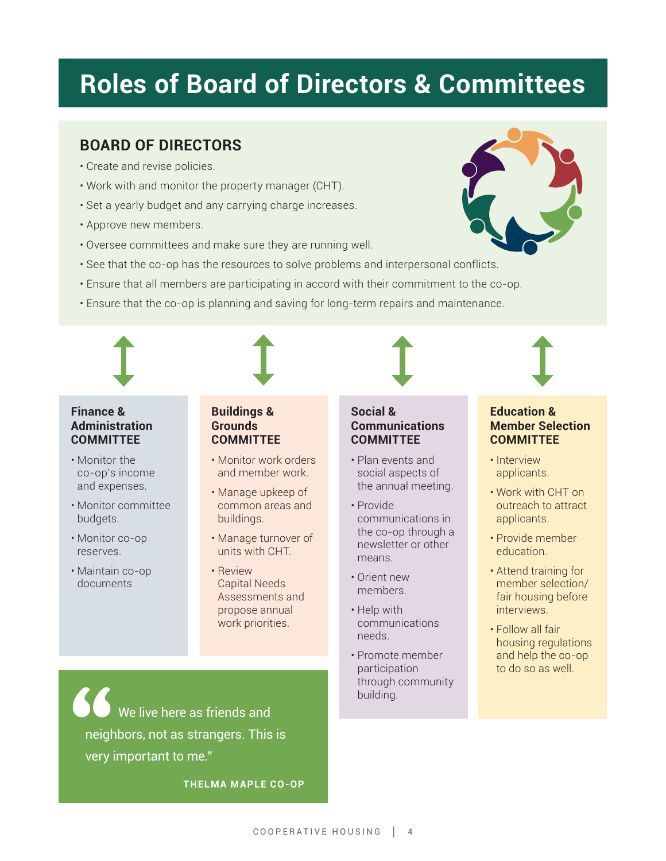# **Roles of Board of Directors & Committees**

### **BOARD OF DIRECTORS**

- Create and revise policies.
- Work with and monitor the property manager (CHT).
- Set a yearly budget and any carrying charge increases.
- Approve new members.
- Oversee committees and make sure they are running well.
- See that the co-op has the resources to solve problems and interpersonal conflicts.
- Ensure that all members are participating in accord with their commitment to the co-op.
- Ensure that the co-op is planning and saving for long-term repairs and maintenance.

#### **Finance & Administration COMMITTEE**

- Monitor the co-op's income and expenses.
- Monitor committee budgets.
- Monitor co-op reserves.
- Maintain co-op documents

#### **Buildings & Grounds COMMITTEE**

- Monitor work orders and member work.
- Manage upkeep of common areas and buildings.
- Manage turnover of units with CHT.
- Review Capital Needs Assessments and propose annual work priorities.

#### **Social & Communications COMMITTEE**

- Plan events and social aspects of the annual meeting.
- Provide communications in the co-op through a newsletter or other means.
- Orient new members.
- Help with communications needs.
- Promote member participation through community building.

#### **Education & Member Selection COMMITTEE**

- Interview applicants.
- Work with CHT on outreach to attract applicants.
- Provide member education.
- Attend training for member selection/ fair housing before interviews.
- Follow all fair housing regulations and help the co-op to do so as well.

We live here as friends and neighbors, not as strangers. This is very important to me."

**THELMA MAPLE CO-OP**



COOPERATIVE HOUSING |<sup>4</sup>